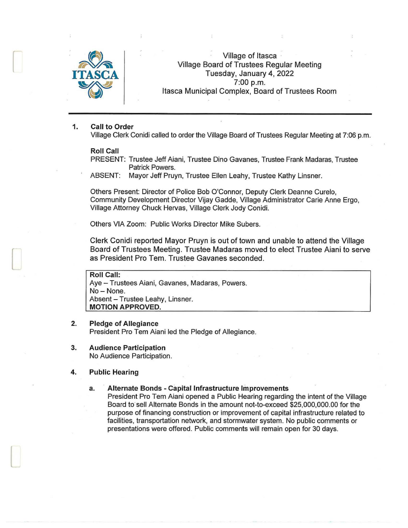

f

 $\Box$ 

 $\Box$ 

Village of Itasca · Village Board of Trustees Regular Meeting Tuesday, January 4, 2022 7:00 p.m. Itasca Municipal Complex, Board of Trustees Room

#### 1. Call to Order

Village Clerk Conidi called to order the Village Board of Trustees Regular Meeting at 7:06 p.m.

#### Roll Call

PRESENT: Trustee Jeff Aiani, Trustee Dino Gavanes, Trustee Frank Madaras, Trustee Patrick Powers.

ABSENT: Mayor Jeff Pruyn, Trustee Ellen Leahy, Trustee Kathy Linsner.

Others Present: Director of Police Bob O'Connor, Deputy Clerk Deanne Curelo, Community Development Director Vijay Gadde, Village Administrator Carie Anne Ergo, Village Attorney Chuck Hervas, Village Clerk Jody Conidi.

Others VIA Zoom: Public Works Director Mike Subers.

Clerk Conidi reported Mayor Pruyn is out of town and unable to attend the Village Board of Trustees Meeting . Trustee Madaras moved to elect Trustee Aiani to serve as President Pro Tem. Trustee Gavanes seconded.

Roll Call: Aye - Trustees Aiani, Gavanes, Madaras, Powers. No-None. Absent - Trustee Leahy, Linsner. MOTION APPROVED.

## 2. Pledge of Allegiance

President Pro Tern Aiani led the Pledge of Allegiance.

3. Audience Participation No Audience Participation.

#### 4. Public Hearing

#### a. Alternate Bonds - Capital Infrastructure Improvements

President Pro Tern Aiani opened a Public Hearing regarding the intent of the Village Board to"sell Alternate Bonds in the amount not-to-exceed \$25,000,000.00 for the purpose of financing construction or improvement of capital infrastructure related to facilities, transportation network, and stormwater system. No public comments or presentations were offered. Public comments will remain open for 30 days.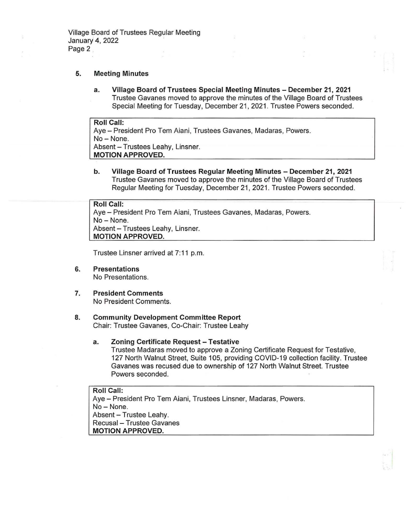#### 5. Meeting Minutes

a. Village Board of Trustees Special Meeting Minutes - December 21, 2021 Trustee Gavanes moved to approve the minutes of the Village Board of Trustees Special Meeting for Tuesday, December 21, 2021 . Trustee Powers seconded.

Roll Call: Aye- President Pro Tern Aiani, Trustees Gavanes, Madaras, Powers. No- None. Absent - Trustees Leahy, Linsner. MOTION APPROVED.

b. Village Board of Trustees Regular Meeting Minutes- December 21, 2021 Trustee Gavanes moved to approve the minutes of the Village Board of Trustees Regular Meeting for Tuesday, December 21, 2021. Trustee Powers seconded.

# Roll Call:

Aye - President Pro Tem Aiani, Trustees Gavanes, Madaras, Powers. No- None. Absent - Trustees Leahy, Linsner. MOTION APPROVED.

Trustee Linsner arrived at 7:11 p.m.

- 6. Presentations No Presentations.
- 7. President Comments No President Comments.

#### 8. Community Development Committee Report Chair: Trustee Gavanes, Co-Chair: Trustee Leahy

a. Zoning Certificate Request - Testative Trustee Madaras moved to approve a Zoning Certificate Request for Testative, 127 North Walnut Street, Suite 105, providing COVID-19 collection facility. Trustee Gavanes was recused due to ownership of 127 North Walnut Street. Trustee Powers seconded.

# Roll Call:

Aye - President Pro Tem Aiani, Trustees Linsner, Madaras, Powers. No-None. Absent - Trustee Leahy. Recusal - Trustee Gavanes MOTION APPROVED.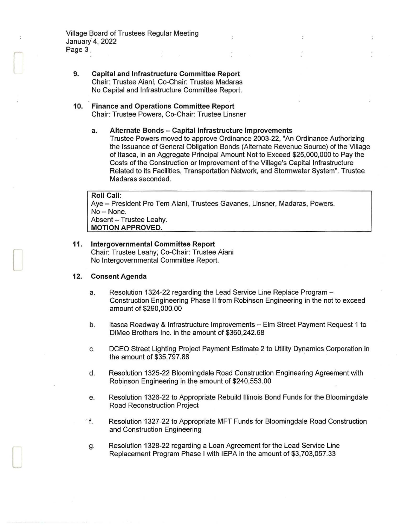Village Board of Trustees Regular Meeting January 4, 2022 Page 3

 $\cup$ 

 $\Box$ 

l

9. Capital and Infrastructure Committee Report Chair: Trustee Aiani, Co-Chair: Trustee Madaras No Capital and Infrastructure Committee Report.

### 10. Finance and Operations Committee Report Chair: Trustee Powers, Co-Chair: Trustee Linsner

#### a. Alternate Bonds - Capital Infrastructure Improvements Trustee Powers moved to approve Ordinance 2003-22, "An Ordinance Authorizing the Issuance of General Obligation Bonds (Alternate Revenue Source) of the Village of Itasca, in an Aggregate Principal Amount Not to Exceed \$25,000,000 to Pay the Costs of the Construction or Improvement of the Village's Capital Infrastructure Related to its Facilities, Transportation Network, and Stormwater System". Trustee Madaras seconded.

# Roll Call: Aye - President Pro Tem Aiani, Trustees Gavanes, Linsner, Madaras, Powers. No-None. Absent - Trustee Leahy. MOTION APPROVED.

#### 11. Intergovernmental Committee Report Chair: Trustee Leahy, Co-Chair: Trustee Aiani No Intergovernmental Committee Report.

#### 12. Consent Agenda

- a. Resolution 1324-22 regarding the Lead Service Line Replace Program -Construction Engineering Phase 11 from Robinson Engineering in the not to exceed amount of \$290,000.00
- b. Itasca Roadway & Infrastructure Improvements Elm Street Payment Request 1 to DiMeo Brothers Inc. in the amount of \$360,242.68
- c. DCEO Street Lighting Project Payment Estimate 2 to Utility Dynamics Corporation in the amount of \$35,797.88
- d. Resolution 1325-22 Bloomingdale Road Construction Engineering Agreement with Robinson Engineering in the amount of \$240,553.00
- e. Resolution 1326-22 to Appropriate Rebuild Illinois Bond Funds for the Bloomingdale Road Reconstruction Project
- · f. Resolution 1327-22 to Appropriate MFT Funds for Bloomingdale Road Construction and Construction Engineering
- g. Resolution 1328-22 regarding a Loan Agreement for the Lead Service Line Replacement Program Phase I with IEPA in the amount of \$3,703,057.33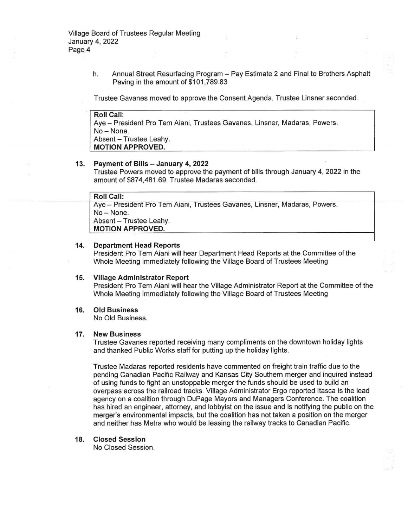h. Annual Street Resurfacing Program - Pay Estimate 2 and Final to Brothers Asphalt Paving in the amount of \$101,789.83

Trustee Gavanes moved to approve the Consent Agenda. Trustee Linsner seconded.

**Roll Call:**  Aye - President Pro Tem Aiani, Trustees Gavanes, Linsner, Madaras, Powers, No- None. Absent - Trustee Leahy. **MOTION APPROVED.** 

#### **13. Payment of Bills - January 4, 2022**

Trustee Powers moved to approve the payment of bills through January 4, 2022 in the amount of \$874,481 .69. Trustee Madaras seconded.

# **Roll Call:**

Aye - President Pro Tern Aiani, Trustees Gavanes, Linsner, Madaras, Powers. No- None. Absent - Trustee Leahy. **MOTION APPROVED.** 

#### **14. Department Head Reports**

President Pro Tern Aiani will hear Department Head Reports at the Committee of the Whole Meeting immediately following the Village Board of Trustees Meeting

#### **15. Village Administrator Report**

President Pro Tern Aiani will hear the Village Administrator Report at the Committee of the Whole Meeting immediately following the Village Board of Trustees Meeting

#### **16. Old Business**

No Old Business.

#### **17. New Business**

Trustee Gavanes reported receiving many compliments on the downtown holiday lights and thanked Public Works staff for putting up the holiday lights.

Trustee Madaras reported residents have commented on freight train traffic due to the pending Canadian Pacific Railway and Kansas City Southern merger and inquired instead of using funds to fight an unstoppable merger the funds should be used to build an overpass across the railroad tracks. Village Administrator Ergo reported Itasca is the lead agency on a coalition through DuPage Mayors and Managers Conference. The coalition has hired an engineer, attorney, and lobbyist on the issue and is notifying the public on the merger's environmental impacts, but the coalition has not taken a position on the merger and neither has Metra who would be leasing the railway tracks to Canadian Pacific.

#### **18. Closed Session**

No Closed Session.